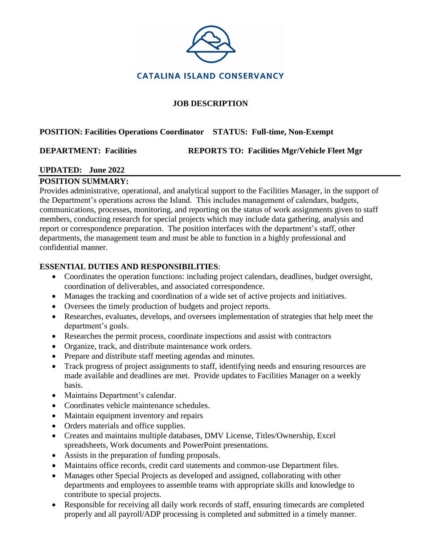

### **JOB DESCRIPTION**

### **POSITION: Facilities Operations Coordinator STATUS: Full-time, Non-Exempt**

**DEPARTMENT: Facilities REPORTS TO: Facilities Mgr/Vehicle Fleet Mgr**

# **UPDATED: June 2022**

## **POSITION SUMMARY:**

Provides administrative, operational, and analytical support to the Facilities Manager, in the support of the Department's operations across the Island. This includes management of calendars, budgets, communications, processes, monitoring, and reporting on the status of work assignments given to staff members, conducting research for special projects which may include data gathering, analysis and report or correspondence preparation. The position interfaces with the department's staff, other departments, the management team and must be able to function in a highly professional and confidential manner.

## **ESSENTIAL DUTIES AND RESPONSIBILITIES**:

- Coordinates the operation functions: including project calendars, deadlines, budget oversight, coordination of deliverables, and associated correspondence.
- Manages the tracking and coordination of a wide set of active projects and initiatives.
- Oversees the timely production of budgets and project reports.
- Researches, evaluates, develops, and oversees implementation of strategies that help meet the department's goals.
- Researches the permit process, coordinate inspections and assist with contractors
- Organize, track, and distribute maintenance work orders.
- Prepare and distribute staff meeting agendas and minutes.
- Track progress of project assignments to staff, identifying needs and ensuring resources are made available and deadlines are met. Provide updates to Facilities Manager on a weekly basis.
- Maintains Department's calendar.
- Coordinates vehicle maintenance schedules.
- Maintain equipment inventory and repairs
- Orders materials and office supplies.
- Creates and maintains multiple databases, DMV License, Titles/Ownership, Excel spreadsheets, Work documents and PowerPoint presentations.
- Assists in the preparation of funding proposals.
- Maintains office records, credit card statements and common-use Department files.
- Manages other Special Projects as developed and assigned, collaborating with other departments and employees to assemble teams with appropriate skills and knowledge to contribute to special projects.
- Responsible for receiving all daily work records of staff, ensuring timecards are completed properly and all payroll/ADP processing is completed and submitted in a timely manner.